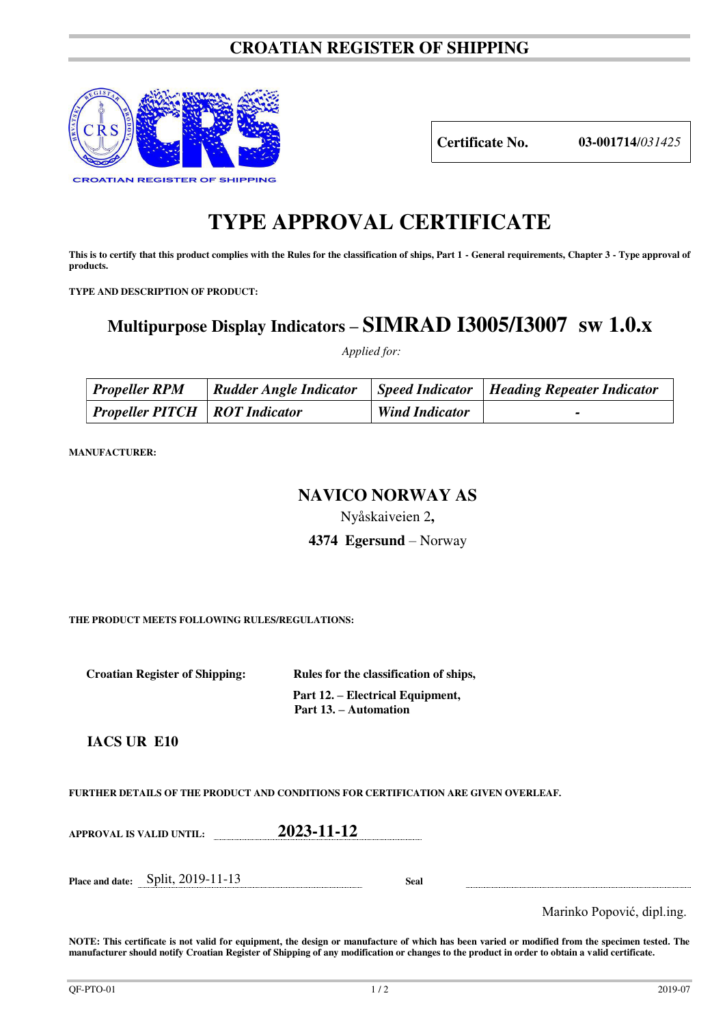## **CROATIAN REGISTER OF SHIPPING**



**Certificate No. 03-001714**/*031425*

# **TYPE APPROVAL CERTIFICATE**

This is to certify that this product complies with the Rules for the classification of ships, Part 1 - General requirements, Chapter 3 - Type approval of **products.** 

**TYPE AND DESCRIPTION OF PRODUCT:** 

# **Multipurpose Display Indicators – SIMRAD I3005/I3007 sw 1.0.x**

 *Applied for:* 

| <b>Propeller RPM</b>                          | <b>Rudder Angle Indicator</b> |                       | $\vert$ Speed Indicator   Heading Repeater Indicator |
|-----------------------------------------------|-------------------------------|-----------------------|------------------------------------------------------|
| $\vert$ Propeller PITCH $\vert$ ROT Indicator |                               | <b>Wind Indicator</b> |                                                      |

**MANUFACTURER:**

### **NAVICO NORWAY AS**

Nyåskaiveien 2**,** 

**4374 Egersund** – Norway

**THE PRODUCT MEETS FOLLOWING RULES/REGULATIONS:**

**Croatian Register of Shipping: Rules for the classification of ships,** 

 **Part 12. – Electrical Equipment, Part 13. – Automation** 

 **IACS UR E10** 

**FURTHER DETAILS OF THE PRODUCT AND CONDITIONS FOR CERTIFICATION ARE GIVEN OVERLEAF.**

**APPROVAL IS VALID UNTIL: 2023-11-12**

**Place and date:** Split, 2019-11-13 **Seal** 

Marinko Popović, dipl.ing.

**NOTE: This certificate is not valid for equipment, the design or manufacture of which has been varied or modified from the specimen tested. The manufacturer should notify Croatian Register of Shipping of any modification or changes to the product in order to obtain a valid certificate.**